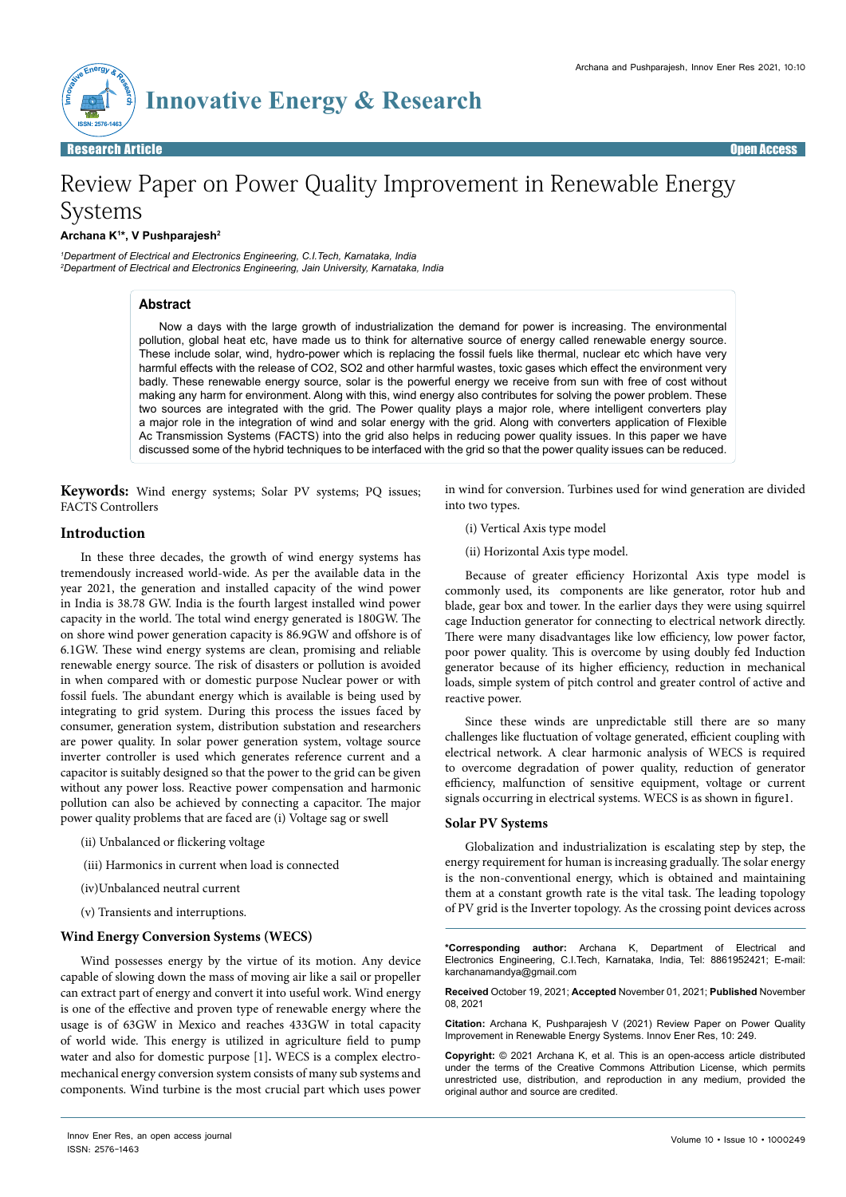

# Review Paper on Power Quality Improvement in Renewable Energy Systems

## **Archana K1 \*, V Pushparajesh2**

*1 Department of Electrical and Electronics Engineering, C.I.Tech, Karnataka, India 2 Department of Electrical and Electronics Engineering, Jain University, Karnataka, India*

# **Abstract**

Now a days with the large growth of industrialization the demand for power is increasing. The environmental pollution, global heat etc, have made us to think for alternative source of energy called renewable energy source. These include solar, wind, hydro-power which is replacing the fossil fuels like thermal, nuclear etc which have very harmful effects with the release of CO2, SO2 and other harmful wastes, toxic gases which effect the environment very badly. These renewable energy source, solar is the powerful energy we receive from sun with free of cost without making any harm for environment. Along with this, wind energy also contributes for solving the power problem. These two sources are integrated with the grid. The Power quality plays a major role, where intelligent converters play a major role in the integration of wind and solar energy with the grid. Along with converters application of Flexible Ac Transmission Systems (FACTS) into the grid also helps in reducing power quality issues. In this paper we have discussed some of the hybrid techniques to be interfaced with the grid so that the power quality issues can be reduced.

**Keywords:** Wind energy systems; Solar PV systems; PQ issues; FACTS Controllers

in wind for conversion. Turbines used for wind generation are divided into two types.

### **Introduction**

In these three decades, the growth of wind energy systems has tremendously increased world-wide. As per the available data in the year 2021, the generation and installed capacity of the wind power in India is 38.78 GW. India is the fourth largest installed wind power capacity in the world. The total wind energy generated is 180GW. The on shore wind power generation capacity is 86.9GW and offshore is of 6.1GW. These wind energy systems are clean, promising and reliable renewable energy source. The risk of disasters or pollution is avoided in when compared with or domestic purpose Nuclear power or with fossil fuels. The abundant energy which is available is being used by integrating to grid system. During this process the issues faced by consumer, generation system, distribution substation and researchers are power quality. In solar power generation system, voltage source inverter controller is used which generates reference current and a capacitor is suitably designed so that the power to the grid can be given without any power loss. Reactive power compensation and harmonic pollution can also be achieved by connecting a capacitor. The major power quality problems that are faced are (i) Voltage sag or swell

- (ii) Unbalanced or flickering voltage
- (iii) Harmonics in current when load is connected
- (iv)Unbalanced neutral current
- (v) Transients and interruptions.

#### **Wind Energy Conversion Systems (WECS)**

Wind possesses energy by the virtue of its motion. Any device capable of slowing down the mass of moving air like a sail or propeller can extract part of energy and convert it into useful work. Wind energy is one of the effective and proven type of renewable energy where the usage is of 63GW in Mexico and reaches 433GW in total capacity of world wide. This energy is utilized in agriculture field to pump water and also for domestic purpose [1]**.** WECS is a complex electromechanical energy conversion system consists of many sub systems and components. Wind turbine is the most crucial part which uses power

(i) Vertical Axis type model

(ii) Horizontal Axis type model.

Because of greater efficiency Horizontal Axis type model is commonly used, its components are like generator, rotor hub and blade, gear box and tower. In the earlier days they were using squirrel cage Induction generator for connecting to electrical network directly. There were many disadvantages like low efficiency, low power factor, poor power quality. This is overcome by using doubly fed Induction generator because of its higher efficiency, reduction in mechanical loads, simple system of pitch control and greater control of active and reactive power.

Since these winds are unpredictable still there are so many challenges like fluctuation of voltage generated, efficient coupling with electrical network. A clear harmonic analysis of WECS is required to overcome degradation of power quality, reduction of generator efficiency, malfunction of sensitive equipment, voltage or current signals occurring in electrical systems. WECS is as shown in figure1.

#### **Solar PV Systems**

Globalization and industrialization is escalating step by step, the energy requirement for human is increasing gradually. The solar energy is the non-conventional energy, which is obtained and maintaining them at a constant growth rate is the vital task. The leading topology of PV grid is the Inverter topology. As the crossing point devices across

**\*Corresponding author:** Archana K, Department of Electrical and Electronics Engineering, C.I.Tech, Karnataka, India, Tel: 8861952421; E-mail: karchanamandya@gmail.com

**Received** October 19, 2021; **Accepted** November 01, 2021; **Published** November 08, 2021

**Citation:** Archana K, Pushparajesh V (2021) Review Paper on Power Quality Improvement in Renewable Energy Systems. Innov Ener Res, 10: 249.

**Copyright:** © 2021 Archana K, et al. This is an open-access article distributed under the terms of the Creative Commons Attribution License, which permits unrestricted use, distribution, and reproduction in any medium, provided the original author and source are credited.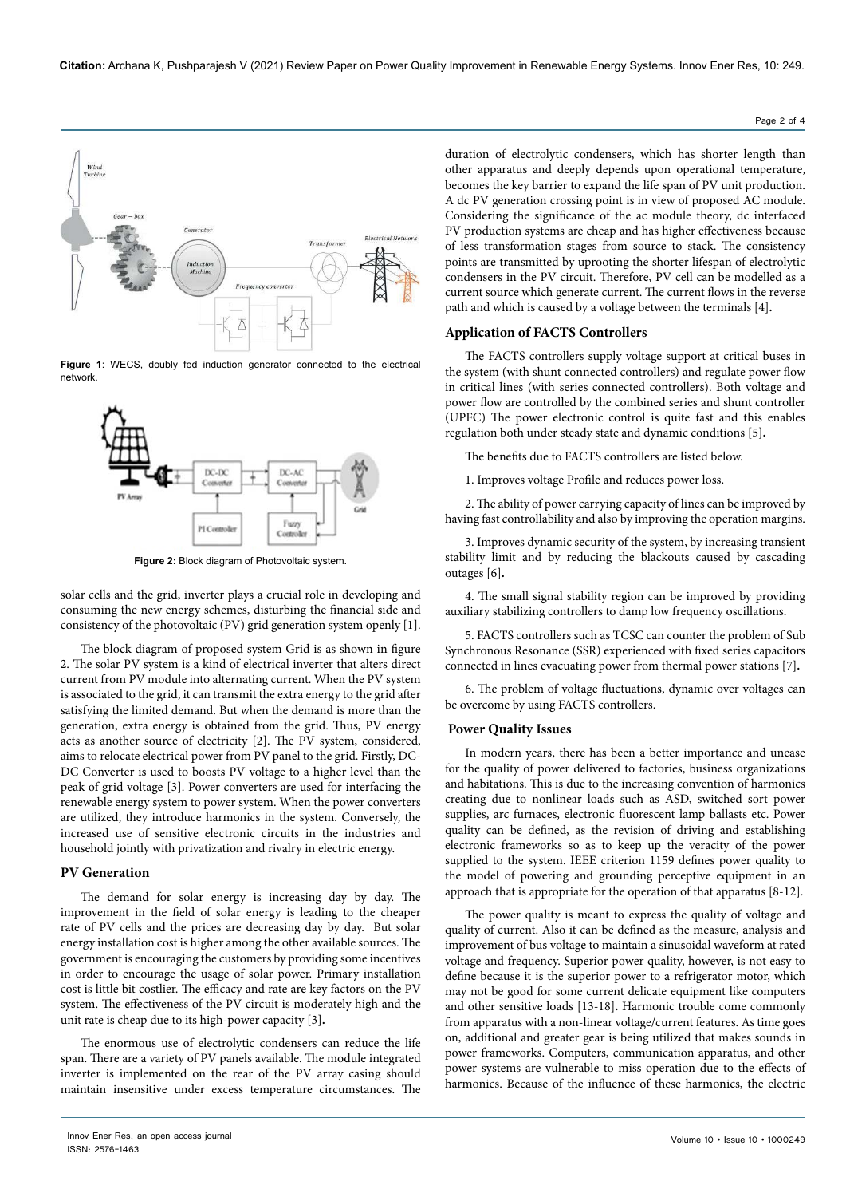Page 2 of 4



**Figure 1**: WECS, doubly fed induction generator connected to the electrical network.



**Figure 2:** Block diagram of Photovoltaic system.

solar cells and the grid, inverter plays a crucial role in developing and consuming the new energy schemes, disturbing the financial side and consistency of the photovoltaic (PV) grid generation system openly [1].

The block diagram of proposed system Grid is as shown in figure 2. The solar PV system is a kind of electrical inverter that alters direct current from PV module into alternating current. When the PV system is associated to the grid, it can transmit the extra energy to the grid after satisfying the limited demand. But when the demand is more than the generation, extra energy is obtained from the grid. Thus, PV energy acts as another source of electricity [2]. The PV system, considered, aims to relocate electrical power from PV panel to the grid. Firstly, DC-DC Converter is used to boosts PV voltage to a higher level than the peak of grid voltage [3]. Power converters are used for interfacing the renewable energy system to power system. When the power converters are utilized, they introduce harmonics in the system. Conversely, the increased use of sensitive electronic circuits in the industries and household jointly with privatization and rivalry in electric energy.

## **PV Generation**

The demand for solar energy is increasing day by day. The improvement in the field of solar energy is leading to the cheaper rate of PV cells and the prices are decreasing day by day. But solar energy installation cost is higher among the other available sources. The government is encouraging the customers by providing some incentives in order to encourage the usage of solar power. Primary installation cost is little bit costlier. The efficacy and rate are key factors on the PV system. The effectiveness of the PV circuit is moderately high and the unit rate is cheap due to its high-power capacity [3]**.**

The enormous use of electrolytic condensers can reduce the life span. There are a variety of PV panels available. The module integrated inverter is implemented on the rear of the PV array casing should maintain insensitive under excess temperature circumstances. The

duration of electrolytic condensers, which has shorter length than other apparatus and deeply depends upon operational temperature, becomes the key barrier to expand the life span of PV unit production. A dc PV generation crossing point is in view of proposed AC module. Considering the significance of the ac module theory, dc interfaced PV production systems are cheap and has higher effectiveness because of less transformation stages from source to stack. The consistency points are transmitted by uprooting the shorter lifespan of electrolytic condensers in the PV circuit. Therefore, PV cell can be modelled as a current source which generate current. The current flows in the reverse path and which is caused by a voltage between the terminals [4]**.**

#### **Application of FACTS Controllers**

The FACTS controllers supply voltage support at critical buses in the system (with shunt connected controllers) and regulate power flow in critical lines (with series connected controllers). Both voltage and power flow are controlled by the combined series and shunt controller (UPFC) The power electronic control is quite fast and this enables regulation both under steady state and dynamic conditions [5]**.**

The benefits due to FACTS controllers are listed below.

1. Improves voltage Profile and reduces power loss.

2. The ability of power carrying capacity of lines can be improved by having fast controllability and also by improving the operation margins.

3. Improves dynamic security of the system, by increasing transient stability limit and by reducing the blackouts caused by cascading outages [6]**.**

4. The small signal stability region can be improved by providing auxiliary stabilizing controllers to damp low frequency oscillations.

5. FACTS controllers such as TCSC can counter the problem of Sub Synchronous Resonance (SSR) experienced with fixed series capacitors connected in lines evacuating power from thermal power stations [7]**.**

6. The problem of voltage fluctuations, dynamic over voltages can be overcome by using FACTS controllers.

#### **Power Quality Issues**

In modern years, there has been a better importance and unease for the quality of power delivered to factories, business organizations and habitations. This is due to the increasing convention of harmonics creating due to nonlinear loads such as ASD, switched sort power supplies, arc furnaces, electronic fluorescent lamp ballasts etc. Power quality can be defined, as the revision of driving and establishing electronic frameworks so as to keep up the veracity of the power supplied to the system. IEEE criterion 1159 defines power quality to the model of powering and grounding perceptive equipment in an approach that is appropriate for the operation of that apparatus [8-12].

The power quality is meant to express the quality of voltage and quality of current. Also it can be defined as the measure, analysis and improvement of bus voltage to maintain a sinusoidal waveform at rated voltage and frequency. Superior power quality, however, is not easy to define because it is the superior power to a refrigerator motor, which may not be good for some current delicate equipment like computers and other sensitive loads [13-18]**.** Harmonic trouble come commonly from apparatus with a non-linear voltage/current features. As time goes on, additional and greater gear is being utilized that makes sounds in power frameworks. Computers, communication apparatus, and other power systems are vulnerable to miss operation due to the effects of harmonics. Because of the influence of these harmonics, the electric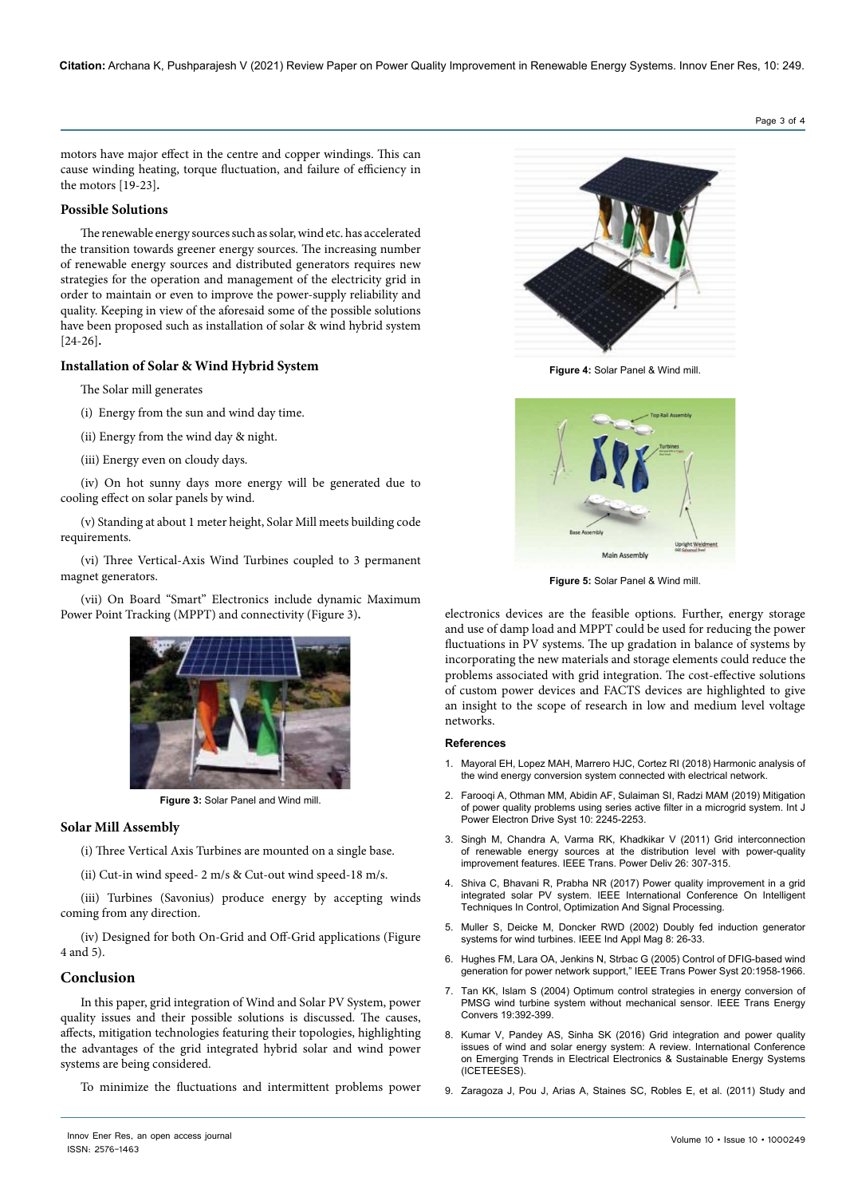motors have major effect in the centre and copper windings. This can cause winding heating, torque fluctuation, and failure of efficiency in the motors [19-23]**.**

## **Possible Solutions**

The renewable energy sources such as solar, wind etc. has accelerated the transition towards greener energy sources. The increasing number of renewable energy sources and distributed generators requires new strategies for the operation and management of the electricity grid in order to maintain or even to improve the power-supply reliability and quality. Keeping in view of the aforesaid some of the possible solutions have been proposed such as installation of solar & wind hybrid system [24-26]**.**

## **Installation of Solar & Wind Hybrid System**

The Solar mill generates

(i) Energy from the sun and wind day time.

- (ii) Energy from the wind day & night.
- (iii) Energy even on cloudy days.

(iv) On hot sunny days more energy will be generated due to cooling effect on solar panels by wind.

(v) Standing at about 1 meter height, Solar Mill meets building code requirements.

(vi) Three Vertical-Axis Wind Turbines coupled to 3 permanent magnet generators.

(vii) On Board "Smart" Electronics include dynamic Maximum Power Point Tracking (MPPT) and connectivity (Figure 3)**.**



**Figure 3:** Solar Panel and Wind mill.

#### **Solar Mill Assembly**

(i) Three Vertical Axis Turbines are mounted on a single base.

(ii) Cut-in wind speed- 2 m/s & Cut-out wind speed-18 m/s.

(iii) Turbines (Savonius) produce energy by accepting winds coming from any direction.

(iv) Designed for both On-Grid and Off-Grid applications (Figure 4 and 5).

### **Conclusion**

In this paper, grid integration of Wind and Solar PV System, power quality issues and their possible solutions is discussed. The causes, affects, mitigation technologies featuring their topologies, highlighting the advantages of the grid integrated hybrid solar and wind power systems are being considered.

To minimize the fluctuations and intermittent problems power



**Figure 4:** Solar Panel & Wind mill.



**Figure 5:** Solar Panel & Wind mill.

electronics devices are the feasible options. Further, energy storage and use of damp load and MPPT could be used for reducing the power fluctuations in PV systems. The up gradation in balance of systems by incorporating the new materials and storage elements could reduce the problems associated with grid integration. The cost-effective solutions of custom power devices and FACTS devices are highlighted to give an insight to the scope of research in low and medium level voltage networks.

## **References**

- 1. [Mayoral EH, Lopez MAH, Marrero HJC, Cortez RI \(2018\) Harmonic analysis of](http://dx.doi.org/10.5772/intechopen.74584)  [the wind energy conversion system connected with electrical network.](http://dx.doi.org/10.5772/intechopen.74584)
- 2. [Farooqi A, Othman MM, Abidin AF, Sulaiman SI, Radzi MAM \(2019\) Mitigation](http://doi.org/10.11591/ijpeds.v10.i4.pp2245-2253)  [of power quality problems using series active filter in a microgrid system. Int J](http://doi.org/10.11591/ijpeds.v10.i4.pp2245-2253)  [Power Electron Drive Syst](http://doi.org/10.11591/ijpeds.v10.i4.pp2245-2253) 10: 2245-2253.
- 3. [Singh M, Chandra A, Varma RK, Khadkikar V \(2011\) Grid interconnection](https://ieeexplore.ieee.org/document/5617328)  [of renewable energy sources at the distribution level with power-quality](https://ieeexplore.ieee.org/document/5617328)  [improvement features. IEEE Trans. Power Deliv 26: 307-315.](https://ieeexplore.ieee.org/document/5617328)
- 4. Shiva C, Bhavani R, Prabha NR (2017) Power quality improvement in a grid integrated solar PV system. IEEE International Conference On Intelligent Techniques In Control, Optimization And Signal Processing.
- 5. [Muller S, Deicke M, Doncker RWD \(2002\) Doubly fed induction generator](https://ieeexplore.ieee.org/document/999610)  [systems for wind turbines. IEEE Ind Appl Mag 8: 26-33.](https://ieeexplore.ieee.org/document/999610)
- 6. [Hughes FM, Lara OA, Jenkins N, Strbac G \(2005\) Control of DFIG-based wind](https://ieeexplore.ieee.org/document/1525126)  [generation for power network support," IEEE Trans Power Syst 20:1958-1966.](https://ieeexplore.ieee.org/document/1525126)
- 7. [Tan KK, Islam S \(2004\) Optimum control strategies in energy conversion of](https://ieeexplore.ieee.org/document/1300706)  PMSG wind turbine system without mechanical sensor. IEEE Trans Energy [Convers 19:392-399.](https://ieeexplore.ieee.org/document/1300706)
- 8. Kumar V, Pandey AS, Sinha SK (2016) Grid integration and power quality issues of wind and solar energy system: A review. International Conference on Emerging Trends in Electrical Electronics & Sustainable Energy Systems (ICETEESES).
- 9. [Zaragoza J, Pou J, Arias A, Staines SC, Robles E, et al. \(2011\) Study and](https://doi.org/10.1016/j.renene.2010.11.002)

Page 3 of 4